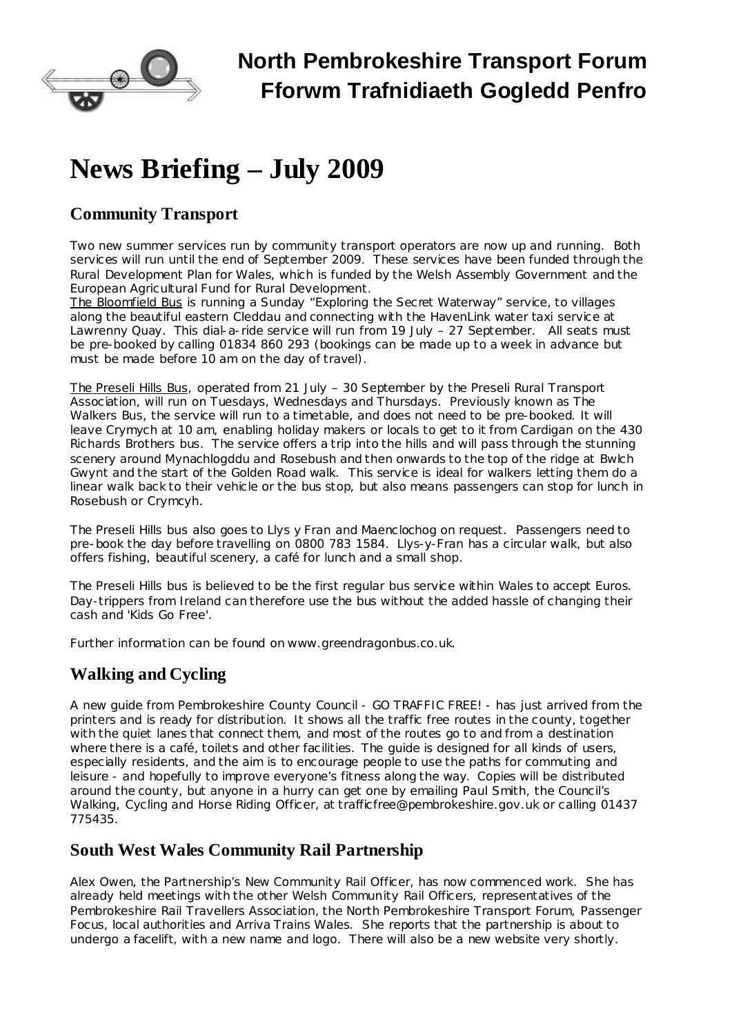

# **News Briefing – July 2009**

# **Community Transport**

Two new summer services run by community transport operators are now up and running. Both services will run until the end of September 2009. These services have been funded through the Rural Development Plan for Wales, which is funded by the Welsh Assembly Government and the European Agricultural Fund for Rural Development.

The Bloomfield Bus is running a Sunday "Exploring the Secret Waterway" service, to villages along the beautiful eastern Cleddau and connecting with the HavenLink water taxi service at Lawrenny Quay. This dial-a-ride service will run from 19 July – 27 September. All seats must be pre-booked by calling 01834 860 293 (bookings can be made up to a week in advance but must be made before 10 am on the day of travel).

The Preseli Hills Bus, operated from 21 July – 30 September by the Preseli Rural Transport Association, will run on Tuesdays, Wednesdays and Thursdays. Previously known as The Walkers Bus, the service will run to a timetable, and does not need to be pre-booked. It will leave Crymych at 10 am, enabling holiday makers or locals to get to it from Cardigan on the 430 Richards Brothers bus. The service offers a trip into the hills and will pass through the stunning scenery around Mynachlogddu and Rosebush and then onwards to the top of the ridge at Bwlch Gwynt and the start of the Golden Road walk. This service is ideal for walkers letting them do a linear walk back to their vehicle or the bus stop, but also means passengers can stop for lunch in Rosebush or Crymcyh.

The Preseli Hills bus also goes to Llys y Fran and Maenclochog on request. Passengers need to pre-book the day before travelling on 0800 783 1584. Llys-y-Fran has a circular walk, but also offers fishing, beautiful scenery, a café for lunch and a small shop.

The Preseli Hills bus is believed to be the first regular bus service within Wales to accept Euros. Day-trippers from Ireland can therefore use the bus without the added hassle of changing their cash and 'Kids Go Free'.

Further information can be found on [www.greendragonbus.co.uk.](http://www.greendragonbus.co.uk/)

# **Walking and Cycling**

A new guide from Pembrokeshire County Council - GO TRAFFIC FREE! - has just arrived from the printers and is ready for distribution. It shows all the traffic free routes in the county, together with the quiet lanes that connect them, and most of the routes go to and from a destination where there is a café, toilets and other facilities. The guide is designed for all kinds of users, especially residents, and the aim is to encourage people to use the paths for commuting and leisure - and hopefully to improve everyone's fitness along the way. Copies will be distributed around the county, but anyone in a hurry can get one by emailing Paul Smith, the Council's Walking, Cycling and Horse Riding Officer, at [trafficfree@pembrokeshire.gov.uk](mailto:trafficfree@pembrokeshire.gov.uk) or calling 01437 775435.

### **South West Wales Community Rail Partnership**

Alex Owen, the Partnership's New Community Rail Officer, has now commenced work. She has already held meetings with the other Welsh Community Rail Officers, representatives of the Pembrokeshire Rail Travellers Association, the North Pembrokeshire Transport Forum, Passenger Focus, local authorities and Arriva Trains Wales. She reports that the partnership is about to undergo a facelift, with a new name and logo. There will also be a new website very shortly.